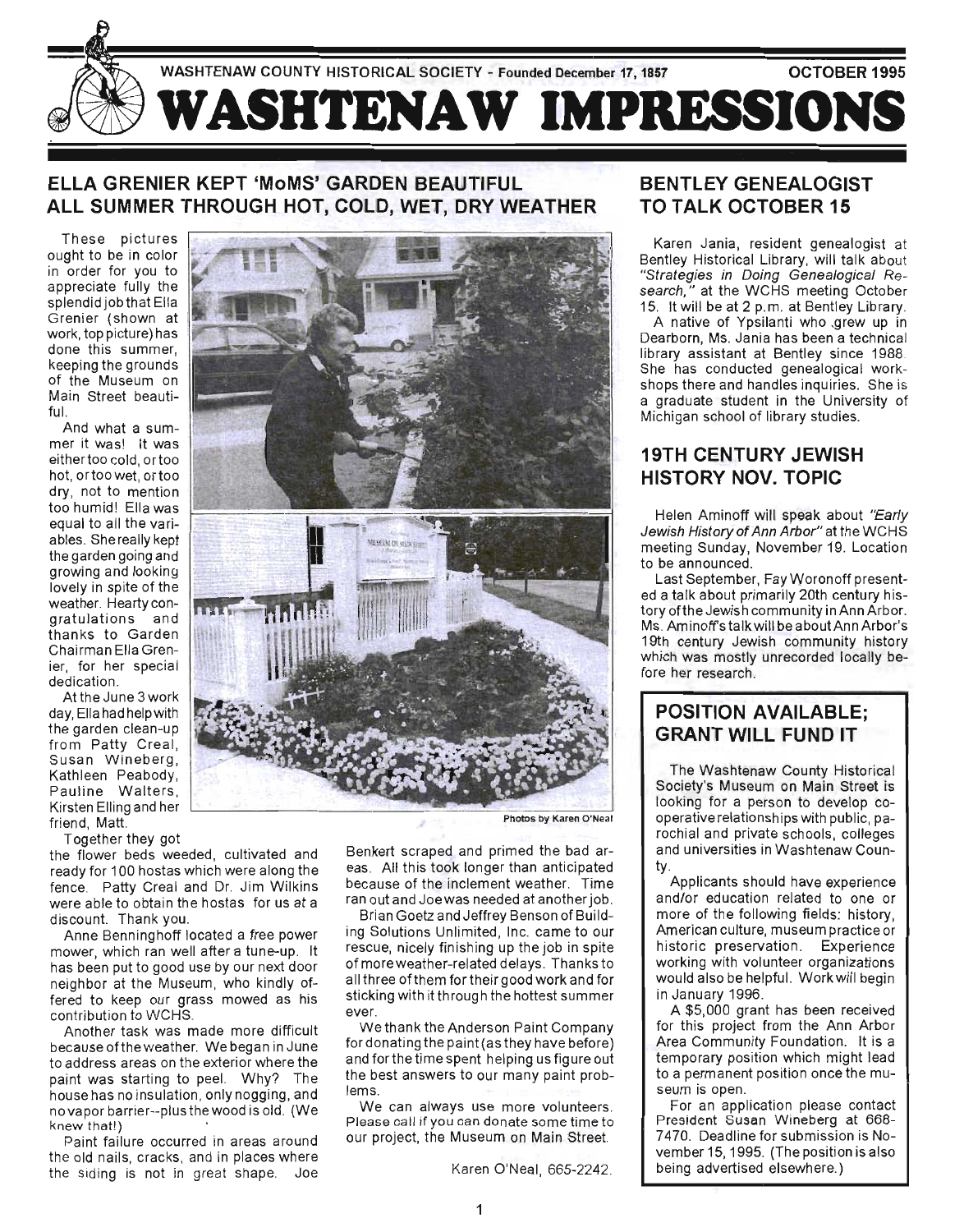

## **ELLA GRENIER KEPT 'MoMS' GARDEN BEAUTIFUL ALL SUMMER THROUGH HOT, COLD, WET, DRY WEATHER**

These pictures ought to be in color in order for you to appreciate fully the splendid job that Ella Grenier (shown at work, top picture) has done this summer, keeping the grounds of the Museum on Main Street beautiful.

And what a summer it was! It was either too cold, ortoo hot, ortoo wet, ortoo dry, not to mention too humid! Ella was equal to all the variables. She really kept the garden going and growing and looking lovely in spite of the weather. Hearty congratulations and thanks to Garden Chairman Ella Grenier, for her special dedication.

At the June 3 work day, Ella had help with the garden clean-up from Patty Creal, Susan Wineberg, Kathleen Peabody, Pauline Walters, Kirsten Elling and her friend, Matt.

Together they got

the flower beds weeded, cultivated and ready for 100 hostas which were along the fence. Patty Creal and Dr. Jim Wilkins were able to obtain the hostas for us at a discount. Thank you.

Anne Benninghoff located a free power mower, which ran well after a tune-up. It has been put to good use by our next door neighbor at the Museum, who kindly offered to keep our grass mowed as his contribution to WCHS.

Another task was made more difficult because of the weather. We began in June to address areas on the exterior where the paint was starting to peel. Why? The house has no insulation, only nogging, and ouschas no msalation, only nogging, and exappled that it is not the whole the whole the whole the whole the whole the whole the whole the whole the wh<br>Dependence of the whole the whole the whole the whole the whole the whole the whole the whole the whole the wh knew that!)<br>Paint failure occurred in areas around

the old nails, cracks, and in places where the siding is not in great shape. Joe



Photos by Karen O'Neal

Benkert scraped and primed the bad areas. All this took longer than anticipated because of the inclement weather. Time ran out and Joewas needed at another job.

Brian Goetz and Jeffrey Benson of Building Solutions Unlimited, Inc. came to our rescue, nicely finishing up the job in spite of more weather-related delays. Thanks to all three of them for their good work and for sticking with it through the hottest summer ever.

We thank the Anderson Paint Company for donating the paint (as they have before) and forthe time spent helping us figure out the best answers to our many paint problems.

We can always use more volunteers. Please call if you can donate some time to our project, the Museum on Main Street.

Karen O'Neal, 665-2242.

## **BENTLEY GENEALOGIST TO TALK OCTOBER 15**

Karen Jania, resident genealogist at Bentley Historical Library, will talk about "Strategies in Doing Genealogical Research," at the WCHS meeting October 15. It will be at 2 p.m. at Bentley Library. A native of Ypsilanti who .grew up in Dearborn, Ms. Jania has been a technical library assistant at Bentley since 1988. She has conducted genealogical workshops there and handles inquiries. She is a graduate student in the University of Michigan school of library studies.

## **19TH CENTURY JEWISH HISTORY NOV. TOPIC**

Helen Aminoff will speak about "Early Jewish History of Ann Arbor" at the WCHS meeting Sunday, November 19. Location to be announced.

Last September, FayWoronoff presented a talk about primarily 20th century history ofthe Jewish community in Ann Arbor. Ms. Aminoff's talk will be about Ann Arbor's 19th century Jewish community history which was mostly unrecorded locally before her research.

## **POSITION AVAILABLE; GRANT WILL FUND IT**

The Washtenaw County Historical Society's Museum on Main Street is looking for a person to develop cooperative relationships with public, parochial and private schools, colleges and universities in Washtenaw Coun- $\frac{1}{2}$ .

Applicants should have experience and/or education related to one or more of the following fields: history, American culture, museum practice or historic preservation. Experience working with volunteer organizations would also be helpful. Work will begin in January 1996.

A \$5,000 grant has been received for this project from the Ann Arbor Area Community Foundation. It is a temporary position which might lead to a permanent position once the museum is open.

For an application please contact President Susan Wineberg at 668- 7470. Deadline for submission is November 15, 1995. (The position is also being advertised elsewhere.)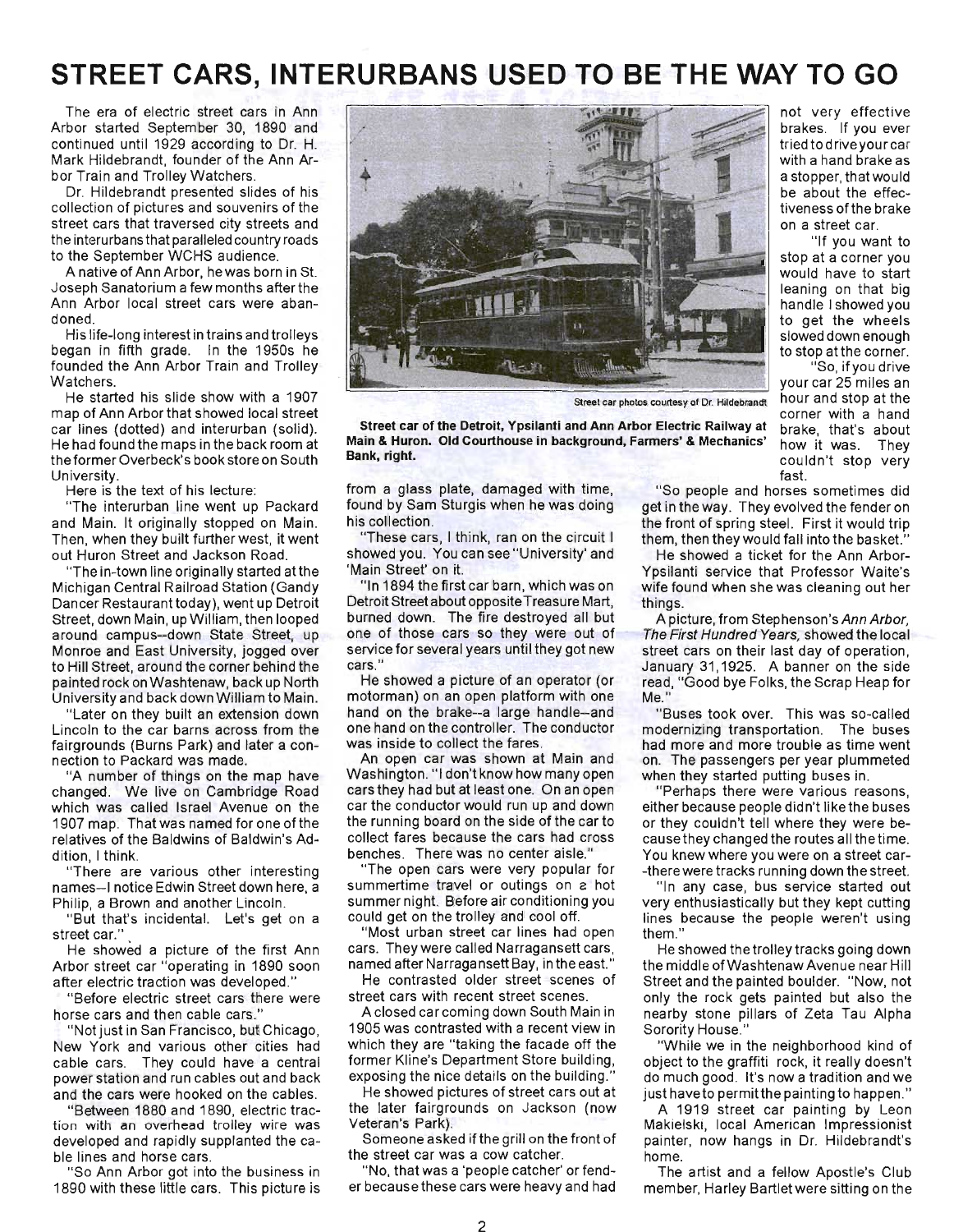# **STREET CARS, INTERURBANS USED TO BE THE WAY TO GO**

The era of electric street cars in Ann Arbor started September 30, 1890 and continued until 1929 according to Dr. H. Mark Hildebrandt, founder of the Ann Arbor Train and Trolley Watchers.

Dr. Hildebrandt presented slides of his collection of pictures and souvenirs of the street cars that traversed city streets and the interurbans that paralleled country roads to the September WCHS audience.

A native of Ann Arbor, hewas born in St. Joseph Sanatorium a few months after the Ann Arbor local street cars were abandoned.

His life-long interest in trains and trolleys began in fifth grade. In the 1950s he founded the Ann Arbor Train and Trolley Watchers.

He started his slide show with a 1907 map of Ann Arbor that showed local street car lines (dotted) and interurban (solid). He had found the maps in the back room at the former Overbeck's book store on South University.

Here is the text of his lecture:

"The interurban line went up Packard and Main. It originally stopped on Main. Then, when they built further west, it went out Huron Street and Jackson Road.

"The in-town line originally started atthe Michigan Central Railroad Station (Gandy Dancer Restaurant today), went up Detroit Street, down Main, up William, then looped around campus--down State Street, up Monroe and East University, jogged over to Hill Street, around the corner behind the painted rock on Washtenaw, back up North University and back down William to Main.

"Later on they built an extension down Lincoln to the car barns across from the fairgrounds (Burns Park) and later a connection to Packard was made.

"A number of things on the map have changed. We live on Cambridge Road which was called Israel Avenue on the 1907 map. That was named for one of the relatives of the Baldwins of Baldwin's Addition, I think.

"There are various other interesting names-I notice Edwin Street down here, a Philip, a Brown and another Lincoln.

"But that's incidental. Let's get on a street car."

He showed a picture of the first Ann Arbor street car "operating in 1890 soon after electric traction was developed."

"Before electric street cars there were horse cars and then cable cars."

"Not just in San Francisco, but Chicago, New York and various other cities had cable cars. They could have a central power station and run cables out and back and the cars were hooked on the cables.

"Between 1880 and 1890, electric traction with an overhead trolley wire was developed and rapidly supplanted the cable lines and horse cars .

"So Ann Arbor got into the business in 1890 with these little cars. This picture is



Street car of the Detroit, Ypsilanti and Ann Arbor Electric Railway at Main & Huron. Old Courthouse in background, Fanners' & Mechanics' Bank, right.

from a glass plate, damaged with time, found by Sam Sturgis when he was doing his collection.

"These cars, I think, ran on the circuit I showed you. You can see "University' and 'Main Street' on it.

"In 1894 the first car barn, which was on Detroit Street about opposite Treasure Mart, burned down. The fire destroyed all but one of those cars so they were out of service for several years until they got new cars."

He showed a picture of an operator (or motorman) on an open platform with one hand on the brake--a large handle--and one hand on the controller. The conductor was inside to collect the fares .

An open car was shown at Main and Washington. "I don't know how many open cars they had but at least one. On an open car the conductor would run up and down the running board on the side of the car to collect fares because the cars had cross benches. There was no center aisle."

"The open cars were very popular for summertime travel or outings on a hot summer night. Before air conditioning you could get on the trolley and cool off.

"Most urban street car lines had open cars. They were called Narragansett cars , named after Narragansett Bay, in the east."

He contrasted older street scenes of street cars with recent street scenes.

Aclosed car coming down South Main in 1905 was contrasted with a recent view in which they are "taking the facade off the former Kline's Department Store building, exposing the nice details on the building."

He showed pictures of street cars out at the later fairgrounds on Jackson (now Veteran's Park).

Someone asked if the grill on the front of the street car was a cow catcher.

"No, that was a 'people catcher' or fender because these cars were heavy and had not very effective brakes. If you ever tried to driveyour car with a hand brake as a stopper, that would be about the effectiveness ofthe brake on a street car.

"If you want to stop at a corner you would have to start leaning on that big handle I showed you to get the wheels slowed down enough to stop at the corner.

"So, if you drive your car 25 miles an Street car photos courtesy of Dr. Hildebrandt hour and stop at the corner with a hand brake, that's about how it was. They couldn't stop very fast.

> "So people and horses sometimes did get in the way. They evolved the fender on the front of spring steel. First it would trip them, then they would fall into the basket."

> He showed a ticket for the Ann Arbor-Ypsilanti service that Professor Waite's wife found when she was cleaning out her things.

A picture, from Stephenson's Ann Arbor, The First Hundred Years, showed the local street cars on their last day of operation, January 31,1925. A banner on the side read, "Good bye Folks, the Scrap Heap for Me."

"Buses took over. This was so-called modernizing transportation. The buses had more and more trouble as time went on. The passengers per year plummeted when they started putting buses in.

"Perhaps there were various reasons, either because people didn't like the buses or they couldn't tell where they were because they changed the routes all the time. You knew where you were on a street car- -there were tracks running down the street.

"In any case, bus service started out very enthusiastically but they kept cutting lines because the people weren't using them."

He showed the trolley tracks going down the middle of Washtenaw Avenue near Hill Street and the painted boulder. "Now, not only the rock gets painted but also the nearby stone pillars of Zeta Tau Alpha Sorority House."

"While we in the neighborhood kind of object to the graffiti rock, it really doesn't do much good. It's now a tradition and we just have to permit the painting to happen."

A 1919 street car painting by Leon Makielski, local American Impressionist painter, now hangs in Dr. Hildebrandt's home.

The artist and a fellow Apostle's Club member, Harley Bartlet were sitting on the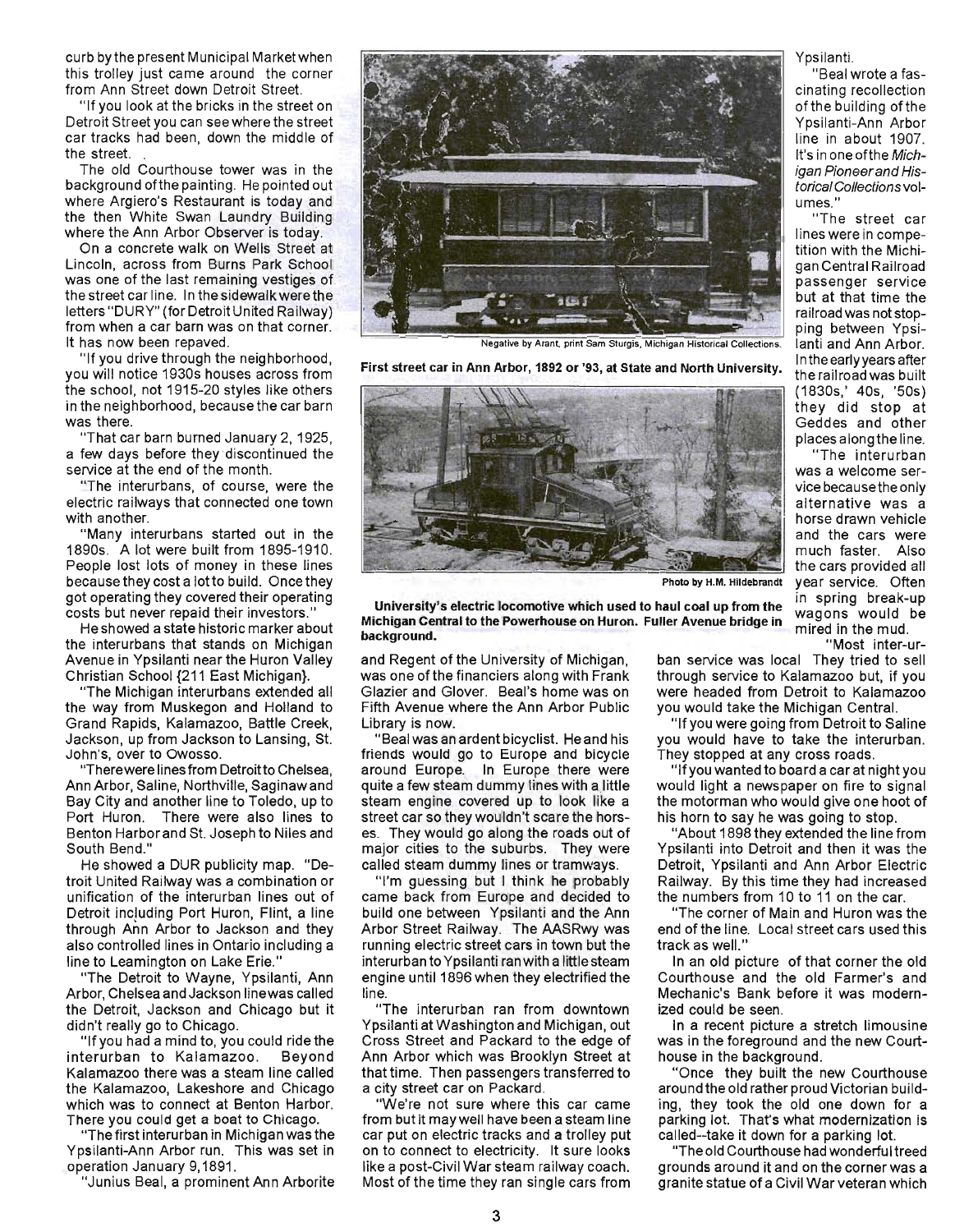curb by the present Municipal Marketwhen this trolley just came around the corner from Ann Street down Detroit Street.

"If you look at the bricks in the street on Detroit Street you can see where the street car tracks had been, down the middle of the street. .

The old Courthouse tower was in the background ofthe painting. He pointed out where Argiero's Restaurant is today and the then White Swan Laundry Building where the Ann Arbor Observer is today.

On a concrete walk on Wells Street at Lincoln, across from Burns Park School was one of the last remaining vestiges of the street car line. In the sidewalk were the letters "DURY" (for Detroit United Railway) from when a car barn was on that corner. It has now been repaved.

"If you drive through the neighborhood, you will notice 1930s houses across from the school, not 1915-20 styles like others in the neighborhood, because the car barn was there.

"That car barn burned January 2, 1925, a few days before they discontinued the service at the end of the month.

"The interurbans, of course, were the electric railways that connected one town with another.

"Many interurbans started out in the 1890s. A lot were built from 1895-1910. People lost lots of money in these lines because they cost a lotto build. Once they \_ got operating they covered their operating costs but never repaid their investors."

He showed a state historic marker about the interurbans that stands on Michigan Avenue in Ypsilanti near the Huron Valley Christian School {21 1 East Michigan}.

"The Michigan interurbans extended all the way from Muskegon and Holland to Grand Rapids, Kalamazoo, Battle Creek, Jackson, up from Jackson to Lansing, St. John's, over to Owosso.

"There were lines from Detroitto Chelsea, Ann Arbor, Saline, Northville, Saginaw and Bay City and another line to Toledo, up to Port Huron. There were also lines to Benton Harbor and St. Joseph to Niles and South Bend."

He showed a DUR publicity map. "Detroit United Railway was a combination or unification of the interurban lines out of Detroit including Port Huron, Flint, a line through Ann Arbor to Jackson and they also controlled lines in Ontario including a line to Leamington on Lake Erie."

"The Detroit to Wayne, Ypsilanti, Ann Arbor, Chelsea and Jackson linewas called the Detroit, Jackson and Chicago but it didn't really go to Chicago.

"If you had a mind to, you could ride the interurban to Kalamazoo. Beyond Kalamazoo there was a steam line called the Kalamazoo, Lakeshore and Chicago which was to connect at Benton Harbor. There you could get a boat to Chicago.

"The first interurban in Michigan was the Ypsilanti-Ann Arbor run. This was set in operation January 9,1891.

"Junius Beal, a prominent Ann Arborite



Negative by Arant, print Sam Sturgis, Michigan Historical Collections.

Inthe early years after First street car in Ann Arbor, 1892 or '93, at State and North University. the railroad was built



University's electric locomotive which used to haul coal up from the Michigan Central to the Powerhouse on Huron. Fuller Avenue bridge in background. "Most inter-ur-<br>"Most inter-ur-

and Regent of the University of Michigan, was one of the financiers along with Frank Glazier and Glover. Beal's home was on Fifth Avenue where the Ann Arbor Public Library is now.

"Beal was an ardent bicyclist. He and his friends would go to Europe and bicycle around Europe. In Europe there were quite a few steam dummy lines with a little steam engine covered up to look like a street car so they wouldn't scare the horses. They would go along the roads out of major cities to the suburbs. They were called steam dummy lines or tramways.

"I'm guessing but I think he probably came back from Europe and decided to build one between Ypsilanti and the Ann Arbor Street Railway. The AASRwy was running electric street cars in town but the interurban to Ypsilanti ran with a little steam engine until 1896 when they electrified the line.

"The interurban ran from downtown Ypsilanti at Washington and Michigan, out Cross Street and Packard to the edge of Ann Arbor which was Brooklyn Street at that time. Then passengers transferred to a city street car on Packard.

"We're not sure where this car came from but it may well have been a steam line car put on electric tracks and a trolley put on to connect to electricity. It sure looks like a post-Civil War steam railway coach. Most of the time they ran single cars from

Ypsilanti.

"Beal wrote a fascinating recollection of the building of the Ypsilanti-Ann Arbor line in about 1907. It's in one ofthe Michigan Pioneer and Historical Collections volumes."

" The street car lines were in competition with the Michigan Central Railroad passenger service but at that time the railroad was not stopping between Ypsilanti and Ann Arbor. (1830s,' 40s, '50s) th ey did stop at Geddes and other places along the line.

"The interurban was a welcome service because the only alternative was a horse drawn vehicle and the cars were much faster. Also the cars provided all Photo by H.M. Hildebrandt year service. Often in spring break-up wagons would be mired in the mud.

ban service was local They tried to sell through service to Kalamazoo but, if you were headed from Detroit to Kalamazoo you would take the Michigan Central.

"If you were going from Detroit to Saline you would have to take the interurban. They stopped at any cross roads.

"If you wanted to board a car at night you would light a newspaper on fire to signal the motorman who would give one hoot of his horn to say he was going to stop.

"About 1898 they extended the line from Ypsilanti into Detroit and then it was the Detroit, Ypsilanti and Ann Arbor Electric Railway. By this time they had increased the numbers from 10 to 11 on the car.

The corner of Main and Huron was the end of the line. Local street cars used this track as well."

In an old picture of that corner the old Courthouse and the old Farmer's and Mechanic's Bank before it was modernized could be seen.

In a recent picture a stretch limousine was in the foreground and the new Courthouse in the background.

"Once they built the new Courthouse around the old rather proud Victorian building, they took the old one down for a parking lot. That's what modernization is called--take it down for a parking lot.

"The old Courthouse had wonderful treed grounds around it and on the corner was a granite statue of a Civil War veteran which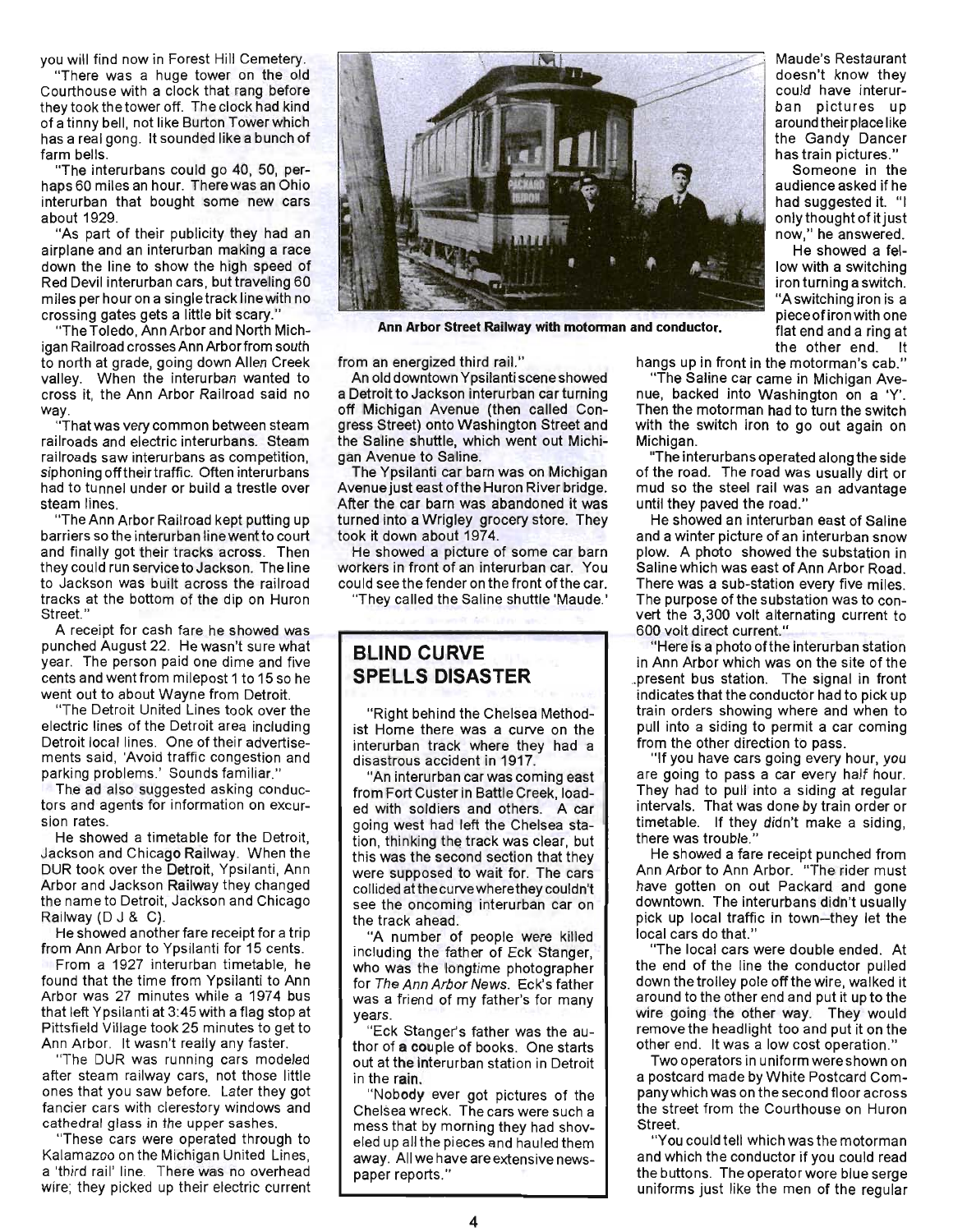you will find now in Forest Hill Cemetery.

"There was a huge tower on the old Courthouse with a clock that rang before they took the tower off. The clock had kind of a tinny bell, not like Burton Tower which has a real gong. It sounded like a bunch of farm bells.

"The interurbans could go 40, 50, perhaps 60 miles an hour. Therewas an Ohio interurban that bought some new cars about 1929.

"As part of their publicity they had an airplane and an interurban making a race down the line to show the high speed of Red Devil interurban cars, but traveling 60 miles per hour on a singletrack linewith no crossing gates gets a little bit scary."

"The Toledo, Ann Arbor and North Michigan Railroad crosses Ann Arborfrom south to north at grade, going down Allen Creek valley. When the interurban wanted to cross it, the Ann Arbor Railroad said no way

"That was very common between steam railroads and electric interurbans. Steam railroads saw interurbans as competition, siphoning off their traffic. Often interurbans had to tunnel under or build a trestle over steam lines.

"The Ann Arbor Railroad kept putting up barriers so the interurban line went to court and finally got their tracks across. Then they could run service to Jackson. The line to Jackson was built across the railroad tracks at the bottom of the dip on Huron Street."

A receipt for cash fare he showed was punched August 22. He wasn't sure what year. The person paid one dime and five cents and went from milepost 1 to 15 so he went out to about Wayne from Detroit.

"The Detroit United Lines took over the electric lines of the Detroit area including Detroit local lines. One of their advertisements said, 'Avoid traffic congestion and parking problems.' Sounds familiar."

The ad also suggested asking conductors and agents for information on excursion rates.

He showed a timetable for the Detroit, Jackson and Chicago Railway. When the DUR took over the Detroit, Ypsilanti, Ann Arbor and Jackson Railway they changed the name to Detroit, Jackson and Chicago Railway (D J & C).

He showed another fare receipt for a trip from Ann Arbor to Ypsilanti for 15 cents. From a 1927 interurban timetable, he found that the time from Ypsilanti to Ann Arbor was 27 minutes while a 1974 bus that left Ypsilanti at 3:45 with a flag stop at Pittsfield Village took 25 minutes to get to Ann Arbor. It wasn't really any faster.

"The OUR was running cars modeled after steam railway cars, not those little ones that you saw before. Later they got fancier cars with clerestory windows and cathedral glass in the upper sashes.

"These cars were operated through to Kalamazoo on the Michigan United Lines, a 'third rail' line. There was no overhead wire; they picked up their electric current



Ann Arbor Street Railway with motorman and conductor.

from an energized third rail."

An old downtown Ypsilanti scene showed a Detroit to Jackson interurban car tuming off Michigan Avenue (then called Congress Street) onto Washington Street and the Saline shuttle, which went out Michigan Avenue to Saline.

The Ypsilanti car barn was on Michigan Avenue just east ofthe Huron River bridge. After the car barn was abandoned it was turned into a Wrigley grocery store. They took it down about 1974.

He showed a picture of some car barn workers in front of an interurban car. You could see the fender on the front ofthe car.

"They called the Saline shuttle 'Maude.'

## **BLIND CURVE SPELLS DISASTER**

"Right behind the Chelsea Methodist Home there was a curve on the interurban track where they had a disastrous accident in 1917.

"An interurban car was coming east from Fort Custer in Battle Creek, loaded with soldiers and others. A car going west had left the Chelsea station, thinking the track was clear, but this was the second section that they were supposed to wait for. The cars collided at the curve where they couldn't see the oncoming interurban car on the track ahead.

"A number of people were killed including the father of Eck Stanger, who was the longtime photographer for The Ann Arbor News. Eck's father was a friend of my father's for many years.

"Eck Stanger's father was the author of a couple of books. One starts out at the interurban station in Detroit in the rain.

"Nobody ever got pictures of the Chelsea wreck. The cars were such a mess that by morning they had shoveled up all the pieces and hauled them away. All we have are extensive newspaper reports."

Maude's Restaurant doesn't know they could have interurban pictures up around their place like the Gandy Dancer has train pictures."

Someone in the audience asked if he had suggested it. "I only thought of it just now," he answered.

He showed a fellow with a switching iron turning a switch. "A switching iron is a pieceofironwith one flat end and a ring at the other end.

hangs up in front in the motorman's cab."

"The Saline car came in Michigan Avenue, backed into Washington on a 'Y'. Then the motorman had to turn the switch with the switch iron to go out again on Michigan.

"The interurbans operated along the side of the road. The road was usually dirt or mud so the steel rail was an advantage until they paved the road."

He showed an interurban east of Saline and a winter picture of an interurban snow plow. A photo showed the substation in Saline which was east of Ann Arbor Road. There was a SUb-station every five miles. The purpose of the substation was to convert the 3,300 volt alternating current to 600 volt direct current."

"Here is a photo ofthe interurban station in Ann Arbor which was on the site of the .. present bus station. The signal in front indicates that the conductor had to pick up train orders showing where and when to pull into a siding to permit a car coming from the other direction to pass.

"If you have cars going every hour, you are going to pass a car every half hour. They had to pull into a siding at regular intervals. That was done by train order or timetable. If they didn't make a siding, there was trouble."

He showed a fare receipt punched from Ann Arbor to Ann Arbor. "The rider must have gotten on out Packard and gone downtown. The interurbans didn't usually pick up local traffic in town-they let the local cars do that."

"The local cars were double ended. At the end of the line the conductor pulled down the trolley pole off the wire, walked it around to the other end and put it up to the wire going the other way. They would remove the headlight too and put it on the other end. It was a low cost operation."

Two operators in uniform were shown on a postcard made by White Postcard Companywhich was on the second floor across the street from the Courthouse on Huron Street.

"You could tell which was the motorman and which the conductor if you could read the buttons. The operator wore blue serge uniforms just like the men of the regular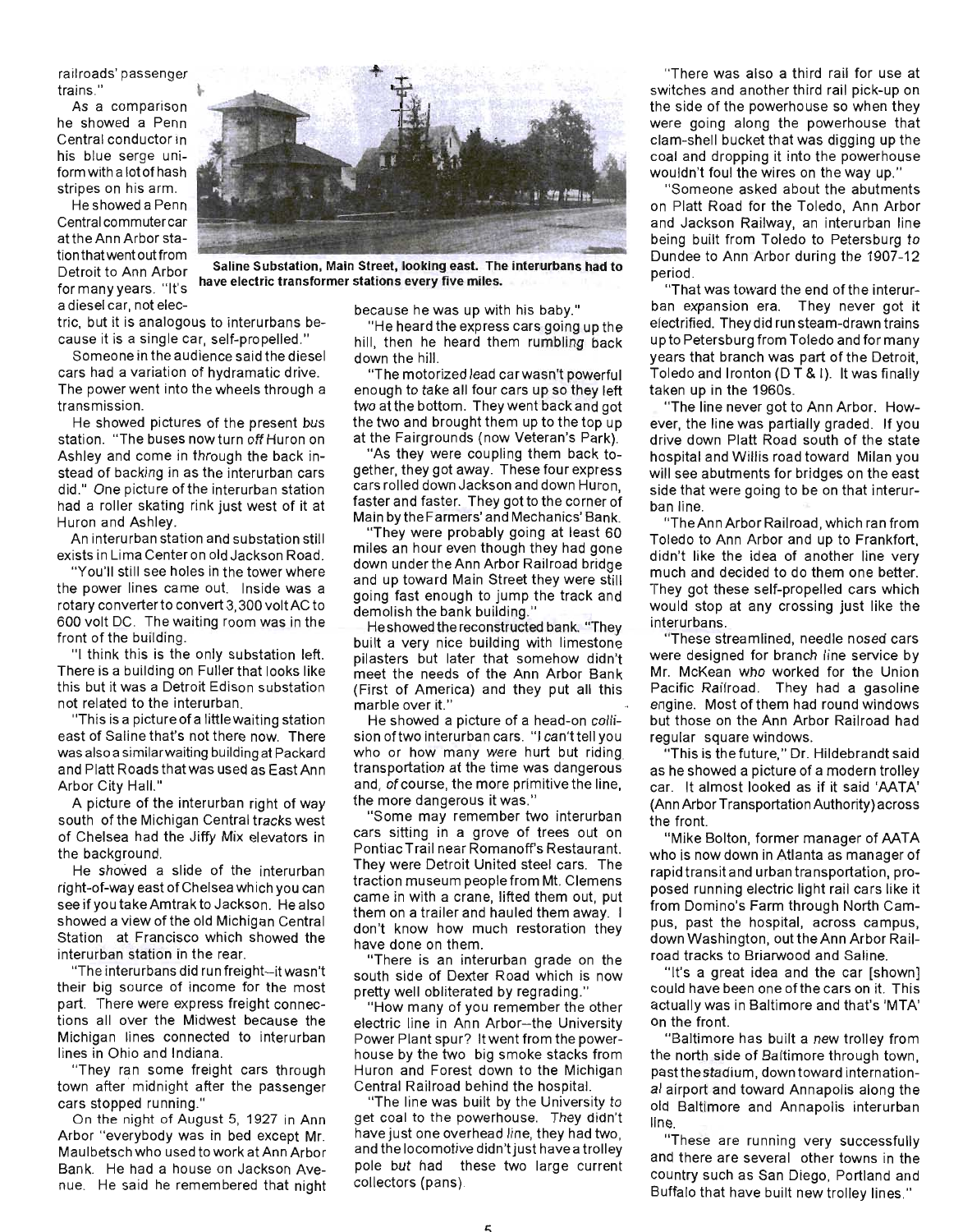railroads' passenger trains."

As a comparison he showed a Penn Central conductor in his blue serge uniform with a lot of hash stripes on his arm.

He showed a Penn Central commuter car at the Ann Arbor stationthatwent out from a diesel car, not elec-



Detroit to Ann Arbor Saline Substation, Main Street, looking east. The interurbans had to betion to Amritation have electric transformer stations every five miles.<br>for many years. "It's

tric, but it is analogous to interurbans because it is a single car, self-propelled."

Someone in the audience said the diesel cars had a variation of hydramatic drive. The power went into the wheels through a transmission.

He showed pictures of the present bus station. "The buses now turn off Huron on Ashley and come in through the back instead of backing in as the interurban cars did." One picture of the interurban station had a roller skating rink just west of it at Huron and Ashley.

An interurban station and substation still exists in Lima Center on old Jackson Road.

"You'll still see holes in the tower where the power lines came out. Inside was a rotary converter to convert 3,300 voltAC to 600 volt DC. The waiting room was in the front of the building.

"I think this is the only substation left. There is a building on Fuller that looks like this but it was a Detroit Edison substation not related to the interurban.

"This is a picture of a little waiting station east of Saline that's not there now. There was also a similarwaiting building at Packard and Platt Roads that was used as EastAnn Arbor City Hall."

A picture of the interurban right of way south of the Michigan Central tracks west of Chelsea had the Jiffy Mix elevators in the background.

He showed a slide of the interurban right-of-way east of Chelsea which you can see if you take Amtrak to Jackson. He also showed a view of the old Michigan Central Station at Francisco which showed the interurban station in the rear.

"The interurbans did run freight-it wasn't their big source of income for the most part. There were express freight connections all over the Midwest because the Michigan lines connected to interurban lines in Ohio and Indiana.

"They ran some freight cars through town after midnight after the passenger cars stopped running."

On the night of August 5, 1927 in Ann Arbor "everybody was in bed except Mr. Maulbetsch who used to work at Ann Arbor Bank. He had a house on Jackson Avenue. He said he remembered that night

because he was up with his baby."

"He heard the express cars going up the hill, then he heard them rumbling back down the hill.

"The motorized lead car wasn't powerful enough to take all four cars up so they left two at the bottom. They went back and got the two and brought them up to the top up at the Fairgrounds (now Veteran's Park).

"As they were coupling them back together, they got away. These four express cars rolled down Jackson and down Huron, faster and faster. They got to the corner of Main by the Farmers' and Mechanics' Bank.

"They were probably going at least 60 miles an hour even though they had gone down under the Ann Arbor Railroad bridge and up toward Main Street they were still going fast enough to jump the track and demolish the bank building."

He showed the reconstructed bank. "They built a very nice building with limestone pilasters but later that somehow didn't meet the needs of the Ann Arbor Bank (First of America) and they put all this marble over it."

He showed a picture of a head-on collision of two interurban cars. "I can'ttell you who or how many were hurt but riding transportation at the time was dangerous and, of course, the more primitive the line, the more dangerous it was."

"Some may remember two interurban cars sitting in a grove of trees out on Pontiac Trail near Romanoff's Restaurant. They were Detroit United steel cars. The traction museum people from Mt. Clemens came in with a crane, lifted them out, put them on a trailer and hauled them away. I don't know how much restoration they have done on them.

"There is an interurban grade on the south side of Dexter Road which is now pretty well obliterated by regrading."

"How many of you remember the other electric line in Ann Arbor-the University Power Plant spur? It went from the powerhouse by the two big smoke stacks from Huron and Forest down to the Michigan Central Railroad behind the hospital.

"The line was built by the University to get coal to the powerhouse. They didn't have just one overhead line, they had two, and the locomotive didn't just have a trolley pole but had these two large current collectors (pans).

"There was also a third rail for use at switches and another third rail pick-up on the side of the powerhouse so when they were going along the powerhouse that clam-shell bucket that was digging up the coal and dropping it into the powerhouse wouldn't foul the wires on the way up."

"Someone asked about the abutments on Platt Road for the Toledo, Ann Arbor and Jackson Railway, an interurban line being built from Toledo to Petersburg to Dundee to Ann Arbor during the 1907-12 period.

"That was toward the end of the interurban expansion era. They never got it electrified. They did run steam-drawn trains up to Petersburg from Toledo and for many years that branch was part of the Detroit, Toledo and Ironton ( $DT$  & I). It was finally taken up in the 1960s.

"The line never got to Ann Arbor. However, the line was partially graded. If you drive down Platt Road south of the state hospital and Willis road toward Milan you will see abutments for bridges on the east side that were going to be on that interurban line.

"The Ann Arbor Railroad, which ran from Toledo to Ann Arbor and up to Frankfort, didn't like the idea of another line very much and decided to do them one better. They got these self-propelled cars which would stop at any crossing just like the interurbans.

"These streamlined, needle nosed cars were designed for branch line service by Mr. McKean who worked for the Union Pacific Railroad. They had a gasoline engine. Most of them had round windows but those on the Ann Arbor Railroad had regular square windows.

"This is the future," Dr. Hildebrandt said as he showed a picture of a modern trolley car. It almost looked as if it said 'AATA' (Ann Arbor Transportation Authority) across the front.

" Mike Bolton, former manager of AATA who is now down in Atlanta as manager of rapid transit and urban transportation, proposed running electric light rail cars like it from Domino's Farm through North Campus, past the hospital, across campus, down Washington, out the Ann Arbor Railroad tracks to Briarwood and Saline.

"It's a great idea and the car [shown] could have been one ofthe cars on it. This actually was in Baltimore and that's 'MTA' on the front.

"Baltimore has built a new trolley from the north side of Baltimore through town, pastthestadium, down toward international airport and toward Annapolis along the old Baltimore and Annapolis interurban line.

"These are running very successfully and there are several other towns in the country such as San Diego, Portland and Buffalo that have built new trolley lines."